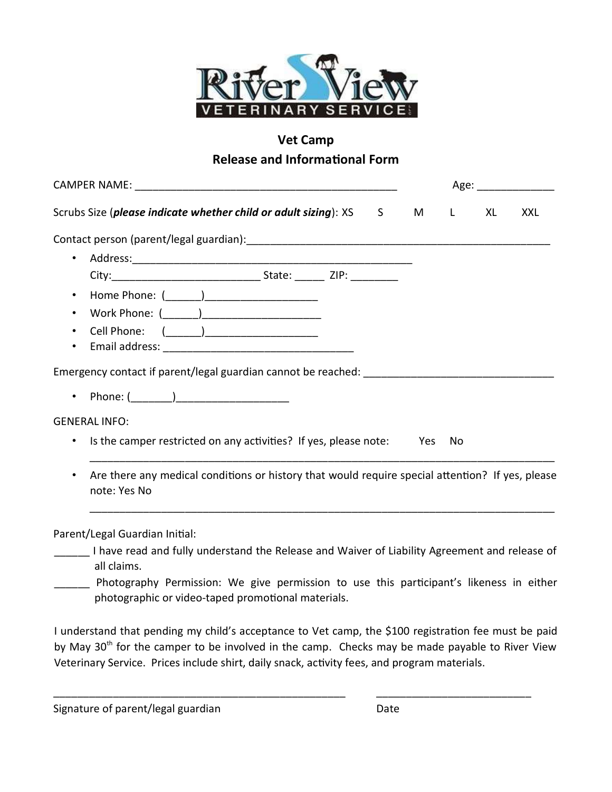

## Vet Camp

## Release and Informational Form

|                                                                                                                                        |  |  |  | Age: _______________ |      |            |  |
|----------------------------------------------------------------------------------------------------------------------------------------|--|--|--|----------------------|------|------------|--|
| Scrubs Size (please indicate whether child or adult sizing): XS S M L                                                                  |  |  |  |                      | XL I | <b>XXL</b> |  |
| Contact person (parent/legal guardian): [19] [2010] [2010] [2010] [2010] [2010] [2010] [2010] [2010] [2010] [2010] [                   |  |  |  |                      |      |            |  |
| $\bullet$                                                                                                                              |  |  |  |                      |      |            |  |
|                                                                                                                                        |  |  |  |                      |      |            |  |
| $\bullet$                                                                                                                              |  |  |  |                      |      |            |  |
| $\bullet$                                                                                                                              |  |  |  |                      |      |            |  |
| $\bullet$                                                                                                                              |  |  |  |                      |      |            |  |
| $\bullet$                                                                                                                              |  |  |  |                      |      |            |  |
| Emergency contact if parent/legal guardian cannot be reached: ___________________                                                      |  |  |  |                      |      |            |  |
|                                                                                                                                        |  |  |  |                      |      |            |  |
| <b>GENERAL INFO:</b>                                                                                                                   |  |  |  |                      |      |            |  |
| Is the camper restricted on any activities? If yes, please note: Yes<br>$\bullet$                                                      |  |  |  | No                   |      |            |  |
| Are there any medical conditions or history that would require special attention? If yes, please<br>٠<br>note: Yes No                  |  |  |  |                      |      |            |  |
| Parent/Legal Guardian Initial:<br>______ I have read and fully understand the Release and Waiver of Liability Agreement and release of |  |  |  |                      |      |            |  |

- all claims. Photography Permission: We give permission to use this participant's likeness in either
	- photographic or video-taped promotional materials.

I understand that pending my child's acceptance to Vet camp, the \$100 registration fee must be paid by May 30<sup>th</sup> for the camper to be involved in the camp. Checks may be made payable to River View Veterinary Service. Prices include shirt, daily snack, activity fees, and program materials.

\_\_\_\_\_\_\_\_\_\_\_\_\_\_\_\_\_\_\_\_\_\_\_\_\_\_\_\_\_\_\_\_\_\_\_\_\_\_\_\_\_\_\_\_\_\_\_\_\_ \_\_\_\_\_\_\_\_\_\_\_\_\_\_\_\_\_\_\_\_\_\_\_\_\_\_

Signature of parent/legal guardian Date Date